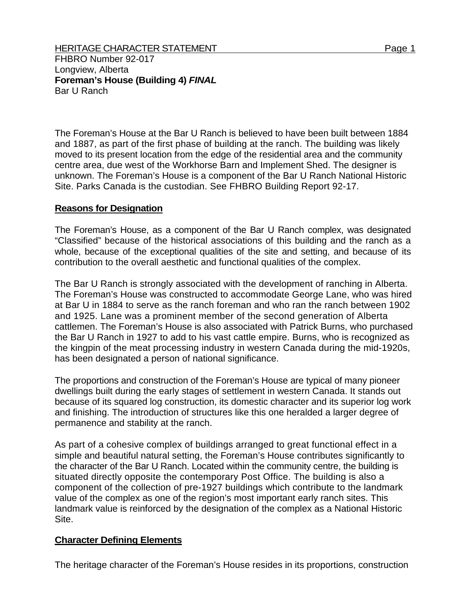FHBRO Number 92-017 Longview, Alberta **Foreman's House (Building 4)** *FINAL*  Bar U Ranch

The Foreman's House at the Bar U Ranch is believed to have been built between 1884 and 1887, as part of the first phase of building at the ranch. The building was likely moved to its present location from the edge of the residential area and the community centre area, due west of the Workhorse Barn and Implement Shed. The designer is unknown. The Foreman's House is a component of the Bar U Ranch National Historic Site. Parks Canada is the custodian. See FHBRO Building Report 92-17.

## **Reasons for Designation**

The Foreman's House, as a component of the Bar U Ranch complex, was designated "Classified" because of the historical associations of this building and the ranch as a whole, because of the exceptional qualities of the site and setting, and because of its contribution to the overall aesthetic and functional qualities of the complex.

The Bar U Ranch is strongly associated with the development of ranching in Alberta. The Foreman's House was constructed to accommodate George Lane, who was hired at Bar U in 1884 to serve as the ranch foreman and who ran the ranch between 1902 and 1925. Lane was a prominent member of the second generation of Alberta cattlemen. The Foreman's House is also associated with Patrick Burns, who purchased the Bar U Ranch in 1927 to add to his vast cattle empire. Burns, who is recognized as the kingpin of the meat processing industry in western Canada during the mid-1920s, has been designated a person of national significance.

The proportions and construction of the Foreman's House are typical of many pioneer dwellings built during the early stages of settlement in western Canada. It stands out because of its squared log construction, its domestic character and its superior log work and finishing. The introduction of structures like this one heralded a larger degree of permanence and stability at the ranch.

As part of a cohesive complex of buildings arranged to great functional effect in a simple and beautiful natural setting, the Foreman's House contributes significantly to the character of the Bar U Ranch. Located within the community centre, the building is situated directly opposite the contemporary Post Office. The building is also a component of the collection of pre-1927 buildings which contribute to the landmark value of the complex as one of the region's most important early ranch sites. This landmark value is reinforced by the designation of the complex as a National Historic Site.

## **Character Defining Elements**

The heritage character of the Foreman's House resides in its proportions, construction